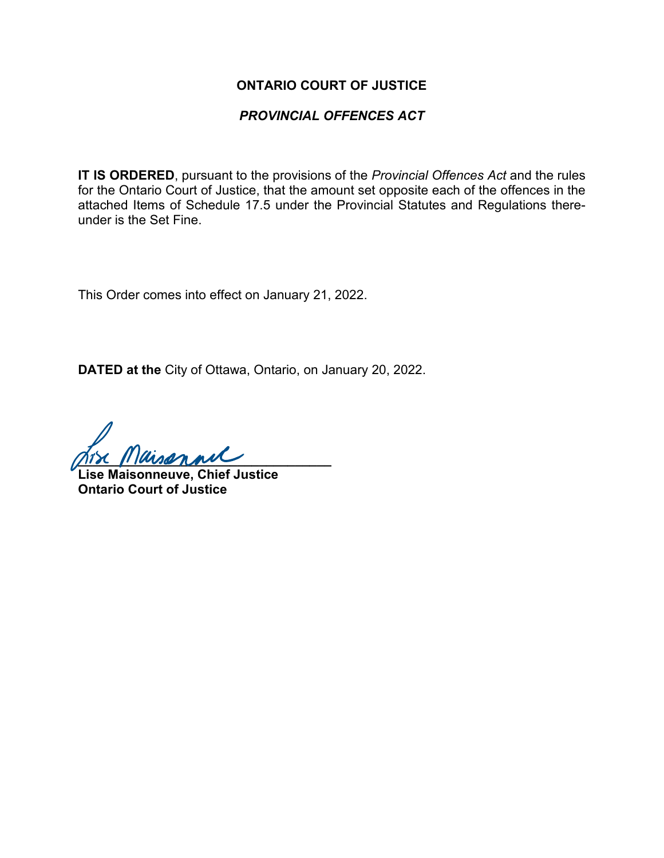#### **ONTARIO COURT OF JUSTICE**

#### *PROVINCIAL OFFENCES ACT*

**IT IS ORDERED**, pursuant to the provisions of the *Provincial Offences Act* and the rules for the Ontario Court of Justice, that the amount set opposite each of the offences in the attached Items of Schedule 17.5 under the Provincial Statutes and Regulations thereunder is the Set Fine.

This Order comes into effect on January 21, 2022.

**DATED at the** City of Ottawa, Ontario, on January 20, 2022.

**\_\_\_\_\_\_\_\_\_\_\_\_\_\_\_\_\_\_\_\_\_\_\_\_\_\_\_\_\_\_\_\_\_\_\_**

**Lise Maisonneuve, Chief Justice Ontario Court of Justice**